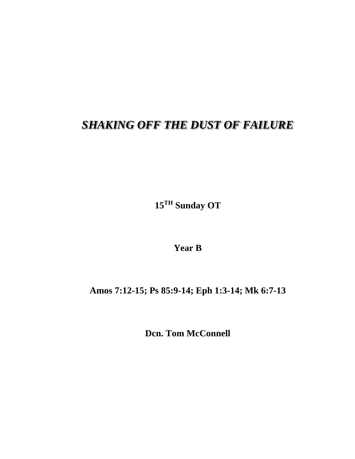## *SHAKING OFF THE DUST OF FAILURE*

**15 TH Sunday OT**

**Year B**

**Amos 7:12-15; Ps 85:9-14; Eph 1:3-14; Mk 6:7-13**

**Dcn. Tom McConnell**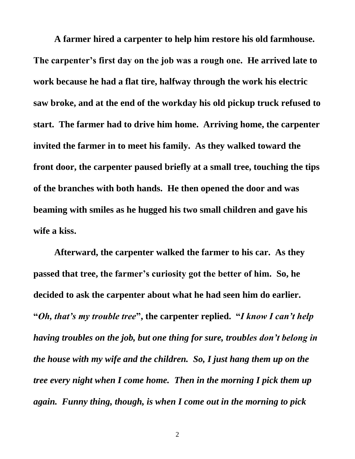**A farmer hired a carpenter to help him restore his old farmhouse. The carpenter's first day on the job was a rough one. He arrived late to work because he had a flat tire, halfway through the work his electric saw broke, and at the end of the workday his old pickup truck refused to start. The farmer had to drive him home. Arriving home, the carpenter invited the farmer in to meet his family. As they walked toward the front door, the carpenter paused briefly at a small tree, touching the tips of the branches with both hands. He then opened the door and was beaming with smiles as he hugged his two small children and gave his wife a kiss.**

**Afterward, the carpenter walked the farmer to his car. As they passed that tree, the farmer's curiosity got the better of him. So, he decided to ask the carpenter about what he had seen him do earlier. "***Oh, that's my trouble tree***" , the carpenter replied. "***I know I can't help having troubles on the job, but one thing for sure, troubles don't belong in the house with my wife and the children. So, I just hang them up on the tree every night when I come home. Then in the morning I pick them up again. Funny thing, though, is when I come out in the morning to pick*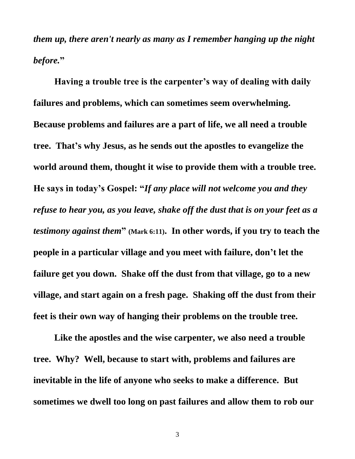*them up, there aren't nearly as many as I remember hanging up the night before.***"** 

**Having a trouble tree is the carpenter's way of dealing with daily failures and problems, which can sometimes seem overwhelming. Because problems and failures are a part of life, we all need a trouble tree. That's why Jesus, as he sends out the apostles to evangelize the world around them, thought it wise to provide them with a trouble tree. He says in today's Gospel: "***If any place will not welcome you and they refuse to hear you, as you leave, shake off the dust that is on your feet as a testimony against them*<sup>"</sup> (Mark 6:11). In other words, if you try to teach the **people in a particular village and you meet with failure, don't let the failure get you down. Shake off the dust from that village, go to a new village, and start again on a fresh page. Shaking off the dust from their feet is their own way of hanging their problems on the trouble tree.**

**Like the apostles and the wise carpenter, we also need a trouble tree. Why? Well, because to start with, problems and failures are inevitable in the life of anyone who seeks to make a difference. But sometimes we dwell too long on past failures and allow them to rob our** 

3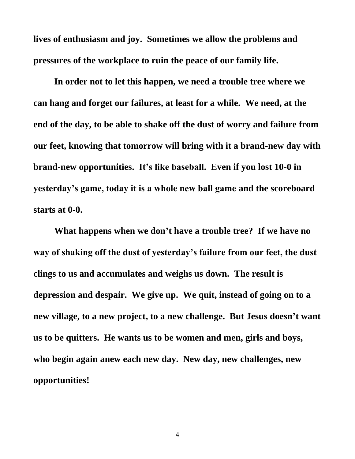**lives of enthusiasm and joy. Sometimes we allow the problems and pressures of the workplace to ruin the peace of our family life.**

**In order not to let this happen, we need a trouble tree where we can hang and forget our failures, at least for a while. We need, at the end of the day, to be able to shake off the dust of worry and failure from our feet, knowing that tomorrow will bring with it a brand-new day with brand-new opportunities. It's like baseball. Even if you lost 10-0 in yesterday's game, today it is a whole new ball game and the scoreboard starts at 0-0.**

**What happens when we don't have a trouble tree? If we have no way of shaking off the dust of yesterday's failure from our feet, the dust clings to us and accumulates and weighs us down. The result is depression and despair. We give up. We quit, instead of going on to a new village, to a new project, to a new challenge. But Jesus doesn't want us to be quitters. He wants us to be women and men, girls and boys, who begin again anew each new day. New day, new challenges, new opportunities!**

4